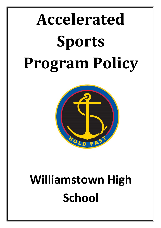# **Accelerated Sports Program Policy**



## **Williamstown High School**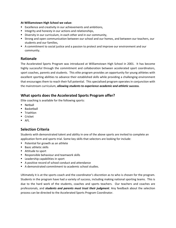#### **At Williamstown High School we value:**

- Excellence and creativity in our achievements and ambitions,
- Integrity and honesty in our actions and relationships,
- Diversity in our curriculum, in each other and in our community,
- Strong and open communication between our school and our homes, and between our teachers, our students and our families,
- A commitment to social justice and a passion to protect and improve our environment and our community.

#### **Rationale**

The Accelerated Sports Program was introduced at Williamstown High School in 2001. It has become highly successful through the commitment and collaboration between accelerated sport coordinators, sport coaches, parents and students. This elite program provides an opportunity for young athletes with excellent sporting abilities to advance their established skills while providing a challenging environment that encourages them to reach their full potential. This specialised program operates in conjunction with the mainstream curriculum, *allowing students to experience academic and athletic success.*

#### **What sports does the Accelerated Sports Program offer?**

Elite coaching is available for the following sports:

- **Netball**
- **Basketball**
- **Triathlon**
- **Cricket**
- AFL

#### **Selection Criteria**

Students with demonstrated talent and ability in one of the above sports are invited to complete an application form and sports trial. Some key skills that selectors are looking for include:

- **Potential for growth as an athlete**
- Basic athletic skills
- Attitude to sport
- **Responsible behaviour and teamwork skills**
- **Leadership capabilities in sport**
- A positive record of school conduct and attendance
- A demonstrated commitment to academic school studies.

Ultimately it is at the sports coach and the coordinator's discretion as to who is chosen for the program. Students in the program have had a variety of success, including making national sporting teams. This is due to the hard work of the students, coaches and sports teachers. Our teachers and coaches are professionals, and *students and parents must trust their judgment*. Any feedback about the selection process can be directed to the Accelerated Sports Program Coordinator.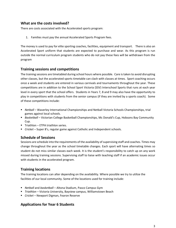#### **What are the costs involved?**

There are costs associated with the Accelerated sports program:

1. Families must pay the annual Accelerated Sports Program fees.

The money is used to pay for elite sporting coaches, facilities, equipment and transport. There is also an Accelerated Sport uniform that students are expected to purchase and wear. As this program is run outside the normal curriculum program students who do not pay these fees will be withdrawn from the program

#### **Training sessions and competitions**

The training sessions are timetabled during school hours where possible. Care is taken to avoid disrupting other classes, but the accelerated sports timetable can clash with classes at times. Sport coaching occurs once a week and students are entered in various carnivals and tournaments throughout the year. These competitions are in addition to the School Sport Victoria (SSV) Interschool Sports that runs at each year level in every sport that the school offers. Students in Years 7, 8 and 9 may also have the opportunity to play in competitions with students from the senior campus (if they are invited by a sports coach). Some of these competitions include:

- *Netball* Waverley International Championships and Netball Victoria Schools Championships, trial games against local schools.
- **B** Basketball Victorian College Basketball Championships, Mc Donald's Cup, Hobsons Bay Community Cup.
- $\blacksquare$  Triathlon ETPA triathlon series.
- *Cricket*  Super 8's, regular game against Catholic and Independent schools.

#### **Schedule of Sessions**

Sessions are schedule into the requirements of the availability of supervising staff and coaches. Times may change throughout the year as the school timetable changes. Each sport will have alternating times so student do not miss similar classes each week. It is the student's responsibility to catch up on any work missed during training sessions. Supervising staff to liaise with teaching staff if an academic issues occur with students in the accelerated program.

#### **Training locations**

The training locations can alter depending on the availability. Where possible we try to utilize the facilities of our local community. Some of the locations used for training include:

- *Netball* and *basketball* Altona Stadium, Pasco Campus Gym
- *Triathlon –* Victoria University, Bayview campus, Williamstown Beach
- *Cricket*  Newport Digman, Fearon Reserve

#### **Applications for Year 6 Students**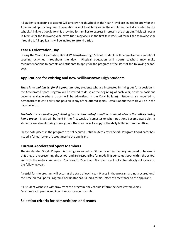All students expecting to attend Williamstown High School at the Year 7 level are invited to apply for the Accelerated Sports Program. Information is sent to all families via the enrolment pack distributed by the school. A link to a google form is provided for families to express interest in the program. Trials will occur in Term 4 for the following year, extra trials may occur in the first few weeks of term 1 the following year if required. All applicants will be invited to attend a trial.

#### **Year 6 Orientation Day**

During the Year 6 Orientation Day at Williamstown High School, students will be involved in a variety of sporting activities throughout the day. Physical education and sports teachers may make recommendations to parents and students to apply for the program at the start of the following school year.

#### **Applications for existing and new Williamstown High Students**

*There is no waiting list for this program -* Any students who are interested in trying out for a position in the Accelerated Sport Program will be invited to do so at the beginning of each year, or when positions become available (these places will be advertised in the Daily Bulletin). Students are required to demonstrate talent, ability and passion in any of the offered sports. Details about the trials will be in the daily bulletin.

*Students are responsible for following instructions and information communicated in the notices during home group -* Trials will be held in the first week of semester or when positions become available. If students are absent during home group, they can collect a copy of the daily bulletin from the office.

Please note places in the program are not secured until the Accelerated Sports Program Coordinator has issued a formal letter of acceptance to the applicant.

#### **Current Accelerated Sport Members**

The Accelerated Sports Program is prestigious and elite. Students within the program need to be aware that they are representing the school and are responsible for modelling our values both within the school and with the wider community. Positions for Year 7 and 8 students will not automatically roll over into the following year.

A retrial for the program will occur at the start of each year. Places in the program are not secured until the Accelerated Sports Program Coordinator has issued a formal letter of acceptance to the applicant.

If a student wishes to withdraw from the program, they should inform the Accelerated Sports Coordinator in person and in writing as soon as possible.

#### **Selection criteria for competitions and teams**